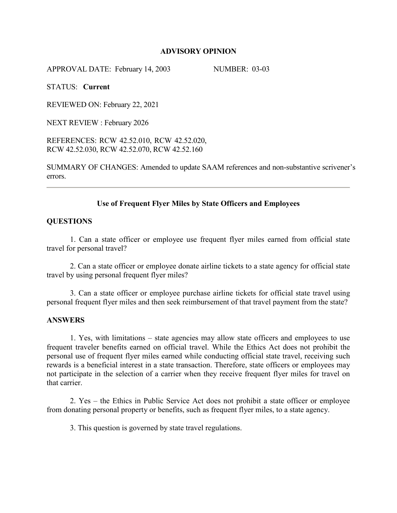#### **ADVISORY OPINION**

APPROVAL DATE: February 14, 2003 NUMBER: 03-03

STATUS: **Current**

REVIEWED ON: February 22, 2021

NEXT REVIEW : February 2026

REFERENCES: RCW 42.52.010, RCW 42.52.020, RCW 42.52.030, RCW 42.52.070, RCW 42.52.160

SUMMARY OF CHANGES: Amended to update SAAM references and non-substantive scrivener's errors.

## **Use of Frequent Flyer Miles by State Officers and Employees**

### **QUESTIONS**

1. Can a state officer or employee use frequent flyer miles earned from official state travel for personal travel?

2. Can a state officer or employee donate airline tickets to a state agency for official state travel by using personal frequent flyer miles?

3. Can a state officer or employee purchase airline tickets for official state travel using personal frequent flyer miles and then seek reimbursement of that travel payment from the state?

#### **ANSWERS**

1. Yes, with limitations – state agencies may allow state officers and employees to use frequent traveler benefits earned on official travel. While the Ethics Act does not prohibit the personal use of frequent flyer miles earned while conducting official state travel, receiving such rewards is a beneficial interest in a state transaction. Therefore, state officers or employees may not participate in the selection of a carrier when they receive frequent flyer miles for travel on that carrier.

2. Yes – the Ethics in Public Service Act does not prohibit a state officer or employee from donating personal property or benefits, such as frequent flyer miles, to a state agency.

3. This question is governed by state travel regulations.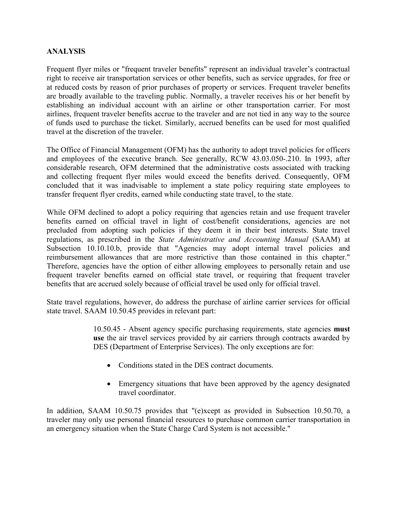## **ANALYSIS**

Frequent flyer miles or "frequent traveler benefits" represent an individual traveler's contractual right to receive air transportation services or other benefits, such as service upgrades, for free or at reduced costs by reason of prior purchases of property or services. Frequent traveler benefits are broadly available to the traveling public. Normally, a traveler receives his or her benefit by establishing an individual account with an airline or other transportation carrier. For most airlines, frequent traveler benefits accrue to the traveler and are not tied in any way to the source of funds used to purchase the ticket. Similarly, accrued benefits can be used for most qualified travel at the discretion of the traveler.

The Office of Financial Management (OFM) has the authority to adopt travel policies for officers and employees of the executive branch. See generally, RCW 43.03.050-.210. In 1993, after considerable research, OFM determined that the administrative costs associated with tracking and collecting frequent flyer miles would exceed the benefits derived. Consequently, OFM concluded that it was inadvisable to implement a state policy requiring state employees to transfer frequent flyer credits, earned while conducting state travel, to the state.

While OFM declined to adopt a policy requiring that agencies retain and use frequent traveler benefits earned on official travel in light of cost/benefit considerations, agencies are not precluded from adopting such policies if they deem it in their best interests. State travel regulations, as prescribed in the *State Administrative and Accounting Manual* (SAAM) at Subsection 10.10.10.b, provide that "Agencies may adopt internal travel policies and reimbursement allowances that are more restrictive than those contained in this chapter." Therefore, agencies have the option of either allowing employees to personally retain and use frequent traveler benefits earned on official state travel, or requiring that frequent traveler benefits that are accrued solely because of official travel be used only for official travel.

State travel regulations, however, do address the purchase of airline carrier services for official state travel. SAAM 10.50.45 provides in relevant part:

> 10.50.45 - Absent agency specific purchasing requirements, state agencies **must use** the air travel services provided by air carriers through contracts awarded by DES (Department of Enterprise Services). The only exceptions are for:

- Conditions stated in the DES contract documents.
- Emergency situations that have been approved by the agency designated travel coordinator.

In addition, SAAM 10.50.75 provides that "(e)xcept as provided in Subsection 10.50.70, a traveler may only use personal financial resources to purchase common carrier transportation in an emergency situation when the State Charge Card System is not accessible."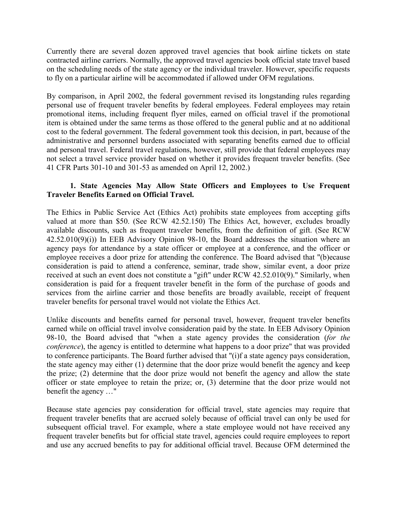Currently there are several dozen approved travel agencies that book airline tickets on state contracted airline carriers. Normally, the approved travel agencies book official state travel based on the scheduling needs of the state agency or the individual traveler. However, specific requests to fly on a particular airline will be accommodated if allowed under OFM regulations.

By comparison, in April 2002, the federal government revised its longstanding rules regarding personal use of frequent traveler benefits by federal employees. Federal employees may retain promotional items, including frequent flyer miles, earned on official travel if the promotional item is obtained under the same terms as those offered to the general public and at no additional cost to the federal government. The federal government took this decision, in part, because of the administrative and personnel burdens associated with separating benefits earned due to official and personal travel. Federal travel regulations, however, still provide that federal employees may not select a travel service provider based on whether it provides frequent traveler benefits. (See 41 CFR Parts 301-10 and 301-53 as amended on April 12, 2002.)

# **1. State Agencies May Allow State Officers and Employees to Use Frequent Traveler Benefits Earned on Official Travel.**

The Ethics in Public Service Act (Ethics Act) prohibits state employees from accepting gifts valued at more than \$50. (See RCW 42.52.150) The Ethics Act, however, excludes broadly available discounts, such as frequent traveler benefits, from the definition of gift. (See RCW 42.52.010(9)(i)) In EEB Advisory Opinion 98-10, the Board addresses the situation where an agency pays for attendance by a state officer or employee at a conference, and the officer or employee receives a door prize for attending the conference. The Board advised that "(b)ecause consideration is paid to attend a conference, seminar, trade show, similar event, a door prize received at such an event does not constitute a "gift" under RCW 42.52.010(9)." Similarly, when consideration is paid for a frequent traveler benefit in the form of the purchase of goods and services from the airline carrier and those benefits are broadly available, receipt of frequent traveler benefits for personal travel would not violate the Ethics Act.

Unlike discounts and benefits earned for personal travel, however, frequent traveler benefits earned while on official travel involve consideration paid by the state. In EEB Advisory Opinion 98-10, the Board advised that "when a state agency provides the consideration (*for the conference*), the agency is entitled to determine what happens to a door prize" that was provided to conference participants. The Board further advised that "(i)f a state agency pays consideration, the state agency may either (1) determine that the door prize would benefit the agency and keep the prize; (2) determine that the door prize would not benefit the agency and allow the state officer or state employee to retain the prize; or, (3) determine that the door prize would not benefit the agency …"

Because state agencies pay consideration for official travel, state agencies may require that frequent traveler benefits that are accrued solely because of official travel can only be used for subsequent official travel. For example, where a state employee would not have received any frequent traveler benefits but for official state travel, agencies could require employees to report and use any accrued benefits to pay for additional official travel. Because OFM determined the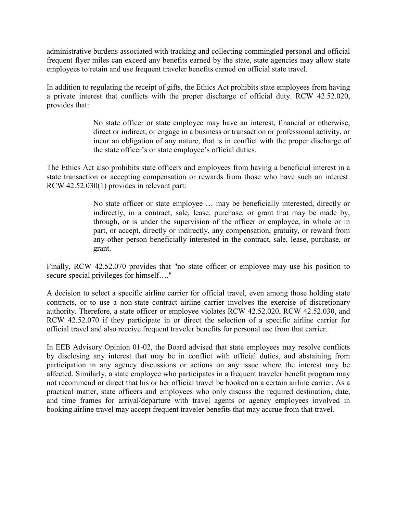administrative burdens associated with tracking and collecting commingled personal and official frequent flyer miles can exceed any benefits earned by the state, state agencies may allow state employees to retain and use frequent traveler benefits earned on official state travel.

In addition to regulating the receipt of gifts, the Ethics Act prohibits state employees from having a private interest that conflicts with the proper discharge of official duty. RCW 42.52.020, provides that:

> No state officer or state employee may have an interest, financial or otherwise, direct or indirect, or engage in a business or transaction or professional activity, or incur an obligation of any nature, that is in conflict with the proper discharge of the state officer's or state employee's official duties.

The Ethics Act also prohibits state officers and employees from having a beneficial interest in a state transaction or accepting compensation or rewards from those who have such an interest. RCW 42.52.030(1) provides in relevant part:

> No state officer or state employee … may be beneficially interested, directly or indirectly, in a contract, sale, lease, purchase, or grant that may be made by, through, or is under the supervision of the officer or employee, in whole or in part, or accept, directly or indirectly, any compensation, gratuity, or reward from any other person beneficially interested in the contract, sale, lease, purchase, or grant.

Finally, RCW 42.52.070 provides that "no state officer or employee may use his position to secure special privileges for himself…."

A decision to select a specific airline carrier for official travel, even among those holding state contracts, or to use a non-state contract airline carrier involves the exercise of discretionary authority. Therefore, a state officer or employee violates RCW 42.52.020, RCW 42.52.030, and RCW 42.52.070 if they participate in or direct the selection of a specific airline carrier for official travel and also receive frequent traveler benefits for personal use from that carrier.

In EEB Advisory Opinion 01-02, the Board advised that state employees may resolve conflicts by disclosing any interest that may be in conflict with official duties, and abstaining from participation in any agency discussions or actions on any issue where the interest may be affected. Similarly, a state employee who participates in a frequent traveler benefit program may not recommend or direct that his or her official travel be booked on a certain airline carrier. As a practical matter, state officers and employees who only discuss the required destination, date, and time frames for arrival/departure with travel agents or agency employees involved in booking airline travel may accept frequent traveler benefits that may accrue from that travel.